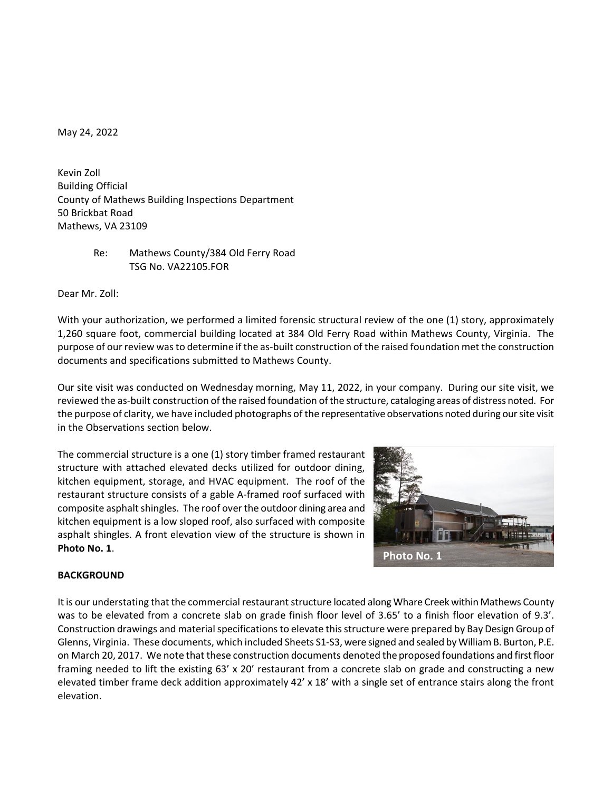May 24, 2022

Kevin Zoll Building Official County of Mathews Building Inspections Department 50 Brickbat Road Mathews, VA 23109

> Re: Mathews County/384 Old Ferry Road TSG No. VA22105.FOR

Dear Mr. Zoll:

With your authorization, we performed a limited forensic structural review of the one (1) story, approximately 1,260 square foot, commercial building located at 384 Old Ferry Road within Mathews County, Virginia. The purpose of our review was to determine if the as-built construction of the raised foundation met the construction documents and specifications submitted to Mathews County.

Our site visit was conducted on Wednesday morning, May 11, 2022, in your company. During our site visit, we reviewed the as-built construction of the raised foundation of the structure, cataloging areas of distress noted. For the purpose of clarity, we have included photographs of the representative observations noted during our site visit in the Observations section below.

The commercial structure is a one (1) story timber framed restaurant structure with attached elevated decks utilized for outdoor dining, kitchen equipment, storage, and HVAC equipment. The roof of the restaurant structure consists of a gable A-framed roof surfaced with composite asphalt shingles. The roof over the outdoor dining area and kitchen equipment is a low sloped roof, also surfaced with composite asphalt shingles. A front elevation view of the structure is shown in **Photo No. 1**.



# **BACKGROUND**

It is our understating that the commercial restaurant structure located along Whare Creek within Mathews County was to be elevated from a concrete slab on grade finish floor level of 3.65' to a finish floor elevation of 9.3'. Construction drawings and material specifications to elevate this structure were prepared by Bay Design Group of Glenns, Virginia. These documents, which included Sheets S1-S3, were signed and sealed by William B. Burton, P.E. on March 20, 2017. We note that these construction documents denoted the proposed foundations and first floor framing needed to lift the existing 63' x 20' restaurant from a concrete slab on grade and constructing a new elevated timber frame deck addition approximately 42' x 18' with a single set of entrance stairs along the front elevation.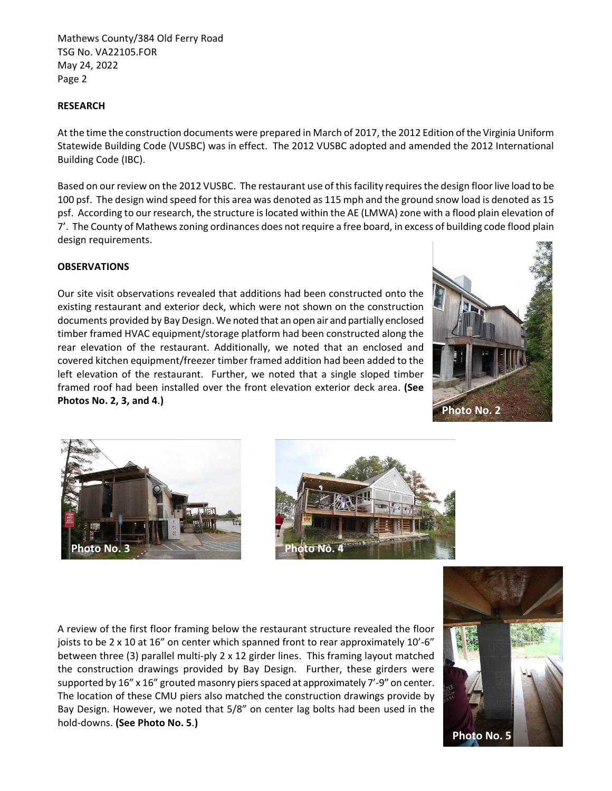# **RESEARCH**

At the time the construction documents were prepared in March of 2017, the 2012 Edition of the Virginia Uniform Statewide Building Code (VUSBC) was in effect. The 2012 VUSBC adopted and amended the 2012 International Building Code (IBC).

Based on our review on the 2012 VUSBC. The restaurant use of thisfacility requires the design floor live load to be 100 psf. The design wind speed for this area was denoted as 115 mph and the ground snow load is denoted as 15 psf. According to our research, the structure is located within the AE (LMWA) zone with a flood plain elevation of 7'. The County of Mathews zoning ordinances does not require a free board, in excess of building code flood plain design requirements.

### **OBSERVATIONS**

Our site visit observations revealed that additions had been constructed onto the existing restaurant and exterior deck, which were not shown on the construction documents provided by Bay Design. We noted that an open air and partially enclosed timber framed HVAC equipment/storage platform had been constructed along the rear elevation of the restaurant. Additionally, we noted that an enclosed and covered kitchen equipment/freezer timber framed addition had been added to the left elevation of the restaurant. Further, we noted that a single sloped timber framed roof had been installed over the front elevation exterior deck area. **(See Photos No. 2, 3, and 4**.**)**







A review of the first floor framing below the restaurant structure revealed the floor joists to be 2 x 10 at 16" on center which spanned front to rear approximately 10'-6" between three (3) parallel multi-ply 2 x 12 girder lines. This framing layout matched the construction drawings provided by Bay Design. Further, these girders were supported by 16" x 16" grouted masonry piers spaced at approximately 7'-9" on center. The location of these CMU piers also matched the construction drawings provide by Bay Design. However, we noted that 5/8" on center lag bolts had been used in the hold-downs. **(See Photo No. 5**.**)**

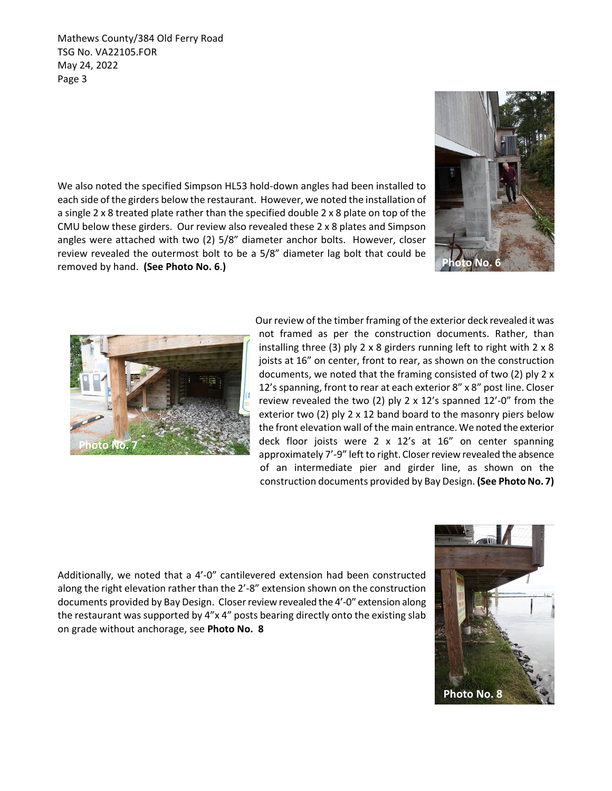We also noted the specified Simpson HL53 hold-down angles had been installed to each side of the girders below the restaurant. However, we noted the installation of a single 2 x 8 treated plate rather than the specified double 2 x 8 plate on top of the CMU below these girders. Our review also revealed these 2 x 8 plates and Simpson angles were attached with two (2) 5/8" diameter anchor bolts. However, closer review revealed the outermost bolt to be a 5/8" diameter lag bolt that could be removed by hand. **(See Photo No. 6**.**)**





Our review of the timber framing of the exterior deck revealed it was not framed as per the construction documents. Rather, than installing three (3) ply 2 x 8 girders running left to right with  $2 \times 8$ joists at 16" on center, front to rear, as shown on the construction documents, we noted that the framing consisted of two (2) ply 2 x 12's spanning, front to rear at each exterior 8" x 8" post line. Closer review revealed the two (2) ply 2 x 12's spanned 12'-0" from the exterior two (2) ply 2 x 12 band board to the masonry piers below the front elevation wall of the main entrance. We noted the exterior deck floor joists were 2 x 12's at 16" on center spanning approximately 7'-9" left to right. Closer review revealed the absence of an intermediate pier and girder line, as shown on the construction documents provided by Bay Design. **(See Photo No. 7)**

Additionally, we noted that a 4'-0" cantilevered extension had been constructed along the right elevation rather than the 2'-8" extension shown on the construction documents provided by Bay Design. Closerreview revealed the 4'-0" extension along the restaurant was supported by 4"x 4" posts bearing directly onto the existing slab on grade without anchorage, see **Photo No. 8**

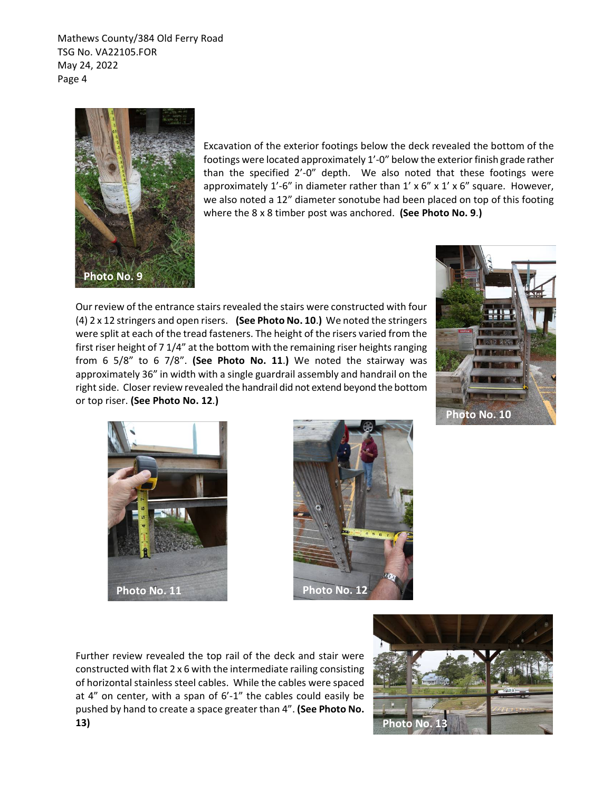

Excavation of the exterior footings below the deck revealed the bottom of the footings were located approximately 1'-0" below the exterior finish grade rather than the specified 2'-0" depth. We also noted that these footings were approximately  $1'$ -6" in diameter rather than  $1' \times 6'' \times 1' \times 6''$  square. However, we also noted a 12" diameter sonotube had been placed on top of this footing where the 8 x 8 timber post was anchored. **(See Photo No. 9**.**)**

Our review of the entrance stairs revealed the stairs were constructed with four (4) 2 x 12 stringers and open risers. **(See Photo No. 10**.**)** We noted the stringers were split at each of the tread fasteners. The height of the risers varied from the first riser height of 7 1/4" at the bottom with the remaining riser heights ranging from 6 5/8" to 6 7/8". **(See Photo No. 11**.**)** We noted the stairway was approximately 36" in width with a single guardrail assembly and handrail on the right side. Closer review revealed the handrail did not extend beyond the bottom or top riser. **(See Photo No. 12**.**)**







Further review revealed the top rail of the deck and stair were constructed with flat 2 x 6 with the intermediate railing consisting of horizontal stainless steel cables. While the cables were spaced at 4" on center, with a span of 6'-1" the cables could easily be pushed by hand to create a space greater than 4". **(See Photo No.**

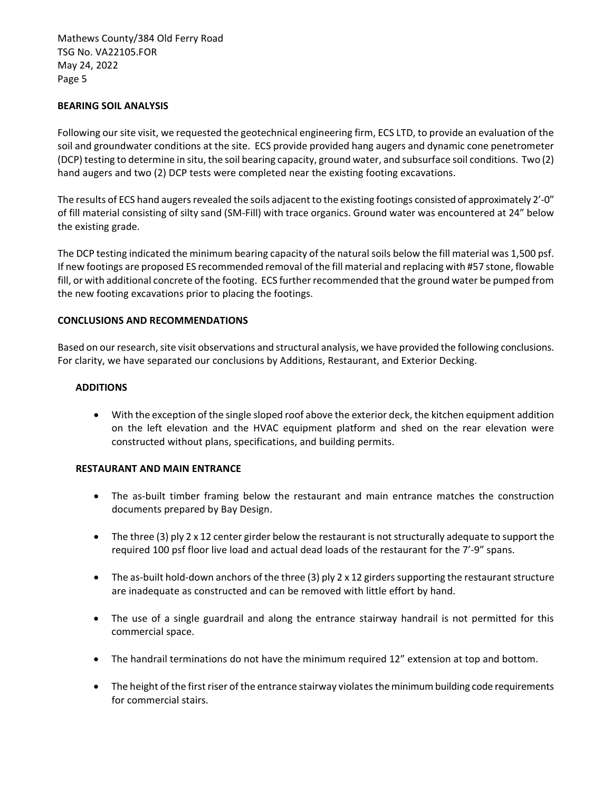### **BEARING SOIL ANALYSIS**

Following our site visit, we requested the geotechnical engineering firm, ECS LTD, to provide an evaluation of the soil and groundwater conditions at the site. ECS provide provided hang augers and dynamic cone penetrometer (DCP) testing to determine in situ, the soil bearing capacity, ground water, and subsurface soil conditions. Two (2) hand augers and two (2) DCP tests were completed near the existing footing excavations.

The results of ECS hand augers revealed the soils adjacent to the existing footings consisted of approximately 2'-0" of fill material consisting of silty sand (SM-Fill) with trace organics. Ground water was encountered at 24" below the existing grade.

The DCP testing indicated the minimum bearing capacity of the natural soils below the fill material was 1,500 psf. If new footings are proposed ES recommended removal of the fill material and replacing with #57 stone, flowable fill, or with additional concrete of the footing. ECS further recommended that the ground water be pumped from the new footing excavations prior to placing the footings.

### **CONCLUSIONS AND RECOMMENDATIONS**

Based on our research, site visit observations and structural analysis, we have provided the following conclusions. For clarity, we have separated our conclusions by Additions, Restaurant, and Exterior Decking.

### **ADDITIONS**

• With the exception of the single sloped roof above the exterior deck, the kitchen equipment addition on the left elevation and the HVAC equipment platform and shed on the rear elevation were constructed without plans, specifications, and building permits.

#### **RESTAURANT AND MAIN ENTRANCE**

- The as-built timber framing below the restaurant and main entrance matches the construction documents prepared by Bay Design.
- The three (3) ply 2 x 12 center girder below the restaurant is not structurally adequate to support the required 100 psf floor live load and actual dead loads of the restaurant for the 7'-9" spans.
- The as-built hold-down anchors of the three (3) ply  $2 \times 12$  girders supporting the restaurant structure are inadequate as constructed and can be removed with little effort by hand.
- The use of a single guardrail and along the entrance stairway handrail is not permitted for this commercial space.
- The handrail terminations do not have the minimum required 12" extension at top and bottom.
- The height of the first riser of the entrance stairway violates the minimum building code requirements for commercial stairs.